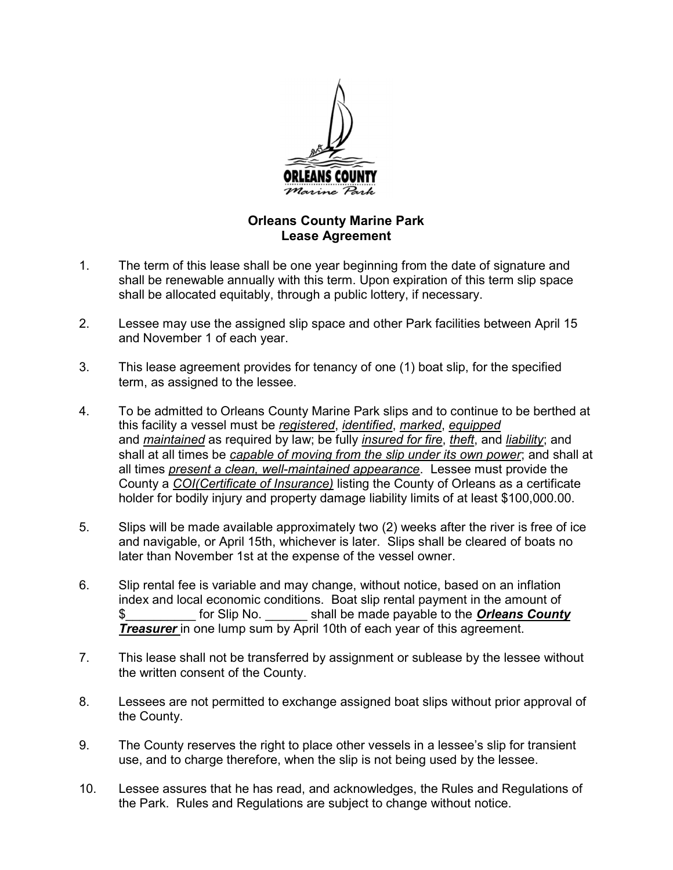

## Orleans County Marine Park Lease Agreement

- 1. The term of this lease shall be one year beginning from the date of signature and shall be renewable annually with this term. Upon expiration of this term slip space shall be allocated equitably, through a public lottery, if necessary.
- 2. Lessee may use the assigned slip space and other Park facilities between April 15 and November 1 of each year.
- 3. This lease agreement provides for tenancy of one (1) boat slip, for the specified term, as assigned to the lessee.
- 4. To be admitted to Orleans County Marine Park slips and to continue to be berthed at this facility a vessel must be registered, identified, marked, equipped and maintained as required by law; be fully *insured for fire*, *theft*, and *liability*; and shall at all times be capable of moving from the slip under its own power; and shall at all times present a clean, well-maintained appearance. Lessee must provide the County a COI(Certificate of Insurance) listing the County of Orleans as a certificate holder for bodily injury and property damage liability limits of at least \$100,000.00.
- 5. Slips will be made available approximately two (2) weeks after the river is free of ice and navigable, or April 15th, whichever is later. Slips shall be cleared of boats no later than November 1st at the expense of the vessel owner.
- 6. Slip rental fee is variable and may change, without notice, based on an inflation index and local economic conditions. Boat slip rental payment in the amount of for Slip No. Shall be made payable to the **Orleans County Treasurer** in one lump sum by April 10th of each year of this agreement.
- 7. This lease shall not be transferred by assignment or sublease by the lessee without the written consent of the County.
- 8. Lessees are not permitted to exchange assigned boat slips without prior approval of the County.
- 9. The County reserves the right to place other vessels in a lessee's slip for transient use, and to charge therefore, when the slip is not being used by the lessee.
- 10. Lessee assures that he has read, and acknowledges, the Rules and Regulations of the Park. Rules and Regulations are subject to change without notice.